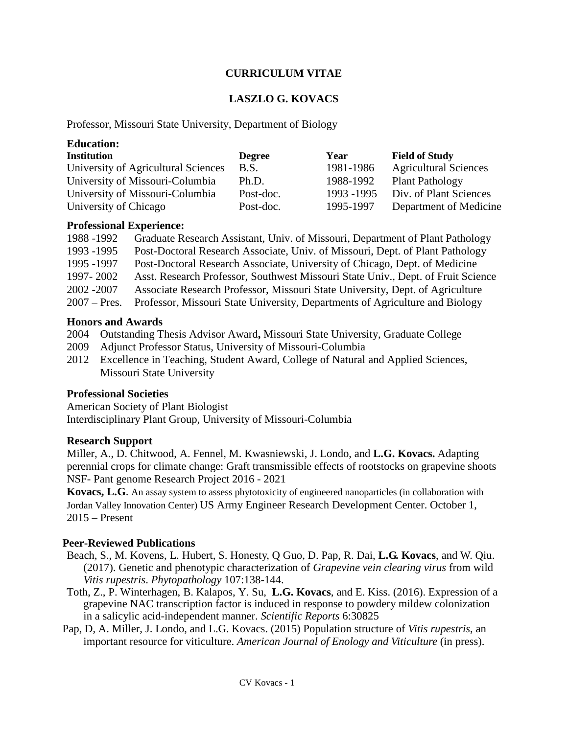## **CURRICULUM VITAE**

# **LASZLO G. KOVACS**

Professor, Missouri State University, Department of Biology

| <b>Education:</b>                   |               |             |                              |
|-------------------------------------|---------------|-------------|------------------------------|
| <b>Institution</b>                  | <b>Degree</b> | Year        | <b>Field of Study</b>        |
| University of Agricultural Sciences | B.S.          | 1981-1986   | <b>Agricultural Sciences</b> |
| University of Missouri-Columbia     | Ph.D.         | 1988-1992   | <b>Plant Pathology</b>       |
| University of Missouri-Columbia     | Post-doc.     | 1993 - 1995 | Div. of Plant Sciences       |
| University of Chicago               | Post-doc.     | 1995-1997   | Department of Medicine       |

#### **Professional Experience:**

| Graduate Research Assistant, Univ. of Missouri, Department of Plant Pathology    |
|----------------------------------------------------------------------------------|
| Post-Doctoral Research Associate, Univ. of Missouri, Dept. of Plant Pathology    |
| Post-Doctoral Research Associate, University of Chicago, Dept. of Medicine       |
| Asst. Research Professor, Southwest Missouri State Univ., Dept. of Fruit Science |
| Associate Research Professor, Missouri State University, Dept. of Agriculture    |
| Professor, Missouri State University, Departments of Agriculture and Biology     |
|                                                                                  |

#### **Honors and Awards**

- 2004 Outstanding Thesis Advisor Award**,** Missouri State University, Graduate College
- 2009 Adjunct Professor Status, University of Missouri-Columbia
- 2012 Excellence in Teaching, Student Award, College of Natural and Applied Sciences, Missouri State University

## **Professional Societies**

American Society of Plant Biologist Interdisciplinary Plant Group, University of Missouri-Columbia

## **Research Support**

Miller, A., D. Chitwood, A. Fennel, M. Kwasniewski, J. Londo, and **L.G. Kovacs.** Adapting perennial crops for climate change: Graft transmissible effects of rootstocks on grapevine shoots NSF- Pant genome Research Project 2016 - 2021

**Kovacs, L.G**. An assay system to assess phytotoxicity of engineered nanoparticles (in collaboration with Jordan Valley Innovation Center) US Army Engineer Research Development Center. October 1, 2015 – Present

## **Peer-Reviewed Publications**

- Beach, S., M. Kovens, L. Hubert, S. Honesty, Q Guo, D. Pap, R. Dai, **L.G. Kovacs**, and W. Qiu. (2017). Genetic and phenotypic characterization of *Grapevine vein clearing virus* from wild *Vitis rupestris*. *Phytopathology* 107:138-144.
- Toth, Z., P. Winterhagen, B. Kalapos, Y. Su, **L.G. Kovacs**, and E. Kiss. (2016). Expression of a grapevine NAC transcription factor is induced in response to powdery mildew colonization in a salicylic acid-independent manner. *Scientific Reports* 6:30825
- Pap, D, A. Miller, J. Londo, and L.G. Kovacs. (2015) Population structure of *Vitis rupestris*, an important resource for viticulture. *American Journal of Enology and Viticulture* (in press).